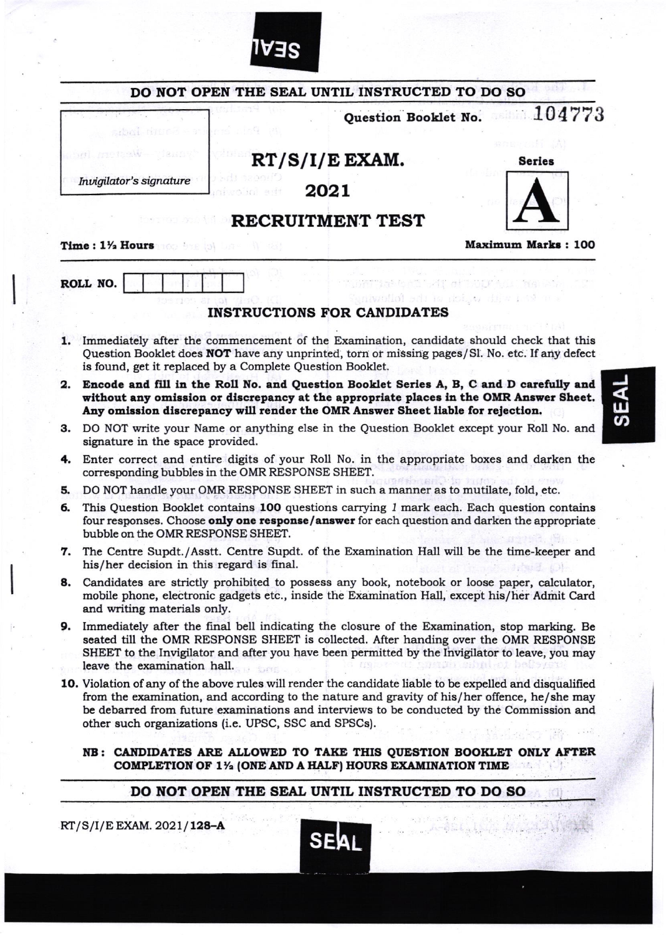|    | DO NOT OPEN THE SEAL UNTIL INSTRUCTED TO DO SO                                                                                                                                                                                                                                                                                                                |                                                                    |
|----|---------------------------------------------------------------------------------------------------------------------------------------------------------------------------------------------------------------------------------------------------------------------------------------------------------------------------------------------------------------|--------------------------------------------------------------------|
|    | sdai dureë - m<br>Ante family<br>RT/S/I/E EXAM.<br>Invigilator's signature<br>2021<br><b>RECRUITMENT TEST</b>                                                                                                                                                                                                                                                 | 104773<br><b>Question Booklet No.</b><br><b>Series</b>             |
|    | Time : 1½ Hours and based the state                                                                                                                                                                                                                                                                                                                           | <b>Maximum Marks: 100</b>                                          |
|    | ROLL NO.<br><b>INSTRUCTIONS FOR CANDIDATES</b>                                                                                                                                                                                                                                                                                                                | S AT OF SUPPLY THE A<br>nivesticit sell in ricitive drive i with a |
|    | 1. Immediately after the commencement of the Examination, candidate should check that this<br>Question Booklet does NOT have any unprinted, torn or missing pages/Sl. No. etc. If any defect<br>is found, get it replaced by a Complete Question Booklet.                                                                                                     |                                                                    |
| 2. | Encode and fill in the Roll No. and Question Booklet Series A, B, C and D carefully and<br>without any omission or discrepancy at the appropriate places in the OMR Answer Sheet.<br>Any omission discrepancy will render the OMR Answer Sheet liable for rejection.                                                                                          |                                                                    |
| з. | DO NOT write your Name or anything else in the Question Booklet except your Roll No. and<br>signature in the space provided.                                                                                                                                                                                                                                  |                                                                    |
| 4. | Enter correct and entire digits of your Roll No. in the appropriate boxes and darken the<br>corresponding bubbles in the OMR RESPONSE SHEET.                                                                                                                                                                                                                  |                                                                    |
| 5. | DO NOT handle your OMR RESPONSE SHEET in such a manner as to mutilate, fold, etc.                                                                                                                                                                                                                                                                             |                                                                    |
| 6. | This Question Booklet contains 100 questions carrying 1 mark each. Each question contains<br>four responses. Choose only one response/answer for each question and darken the appropriate<br>bubble on the OMR RESPONSE SHEET.                                                                                                                                |                                                                    |
| 7. | The Centre Supdt./Asstt. Centre Supdt. of the Examination Hall will be the time-keeper and<br>his/her decision in this regard is final.                                                                                                                                                                                                                       |                                                                    |
| 8. | Candidates are strictly prohibited to possess any book, notebook or loose paper, calculator,<br>mobile phone, electronic gadgets etc., inside the Examination Hall, except his/her Admit Card<br>and writing materials only.                                                                                                                                  |                                                                    |
| 9. | Immediately after the final bell indicating the closure of the Examination, stop marking. Be<br>seated till the OMR RESPONSE SHEET is collected. After handing over the OMR RESPONSE<br>SHEET to the Invigilator and after you have been permitted by the Invigilator to leave, you may<br>leave the examination hall.                                        |                                                                    |
|    | 10. Violation of any of the above rules will render the candidate liable to be expelled and disqualified<br>from the examination, and according to the nature and gravity of his/her offence, he/she may<br>be debarred from future examinations and interviews to be conducted by the Commission and<br>other such organizations (i.e. UPSC, SSC and SPSCs). |                                                                    |
|    | NB: CANDIDATES ARE ALLOWED TO TAKE THIS QUESTION BOOKLET ONLY AFTER<br>COMPLETION OF 11/2 (ONE AND A HALF) HOURS EXAMINATION TIME                                                                                                                                                                                                                             |                                                                    |
|    |                                                                                                                                                                                                                                                                                                                                                               |                                                                    |

 $\ddot{\phantom{a}}$ 

 $\begin{array}{c} \hline \end{array}$ 

 $\overline{\phantom{a}}$ 

.